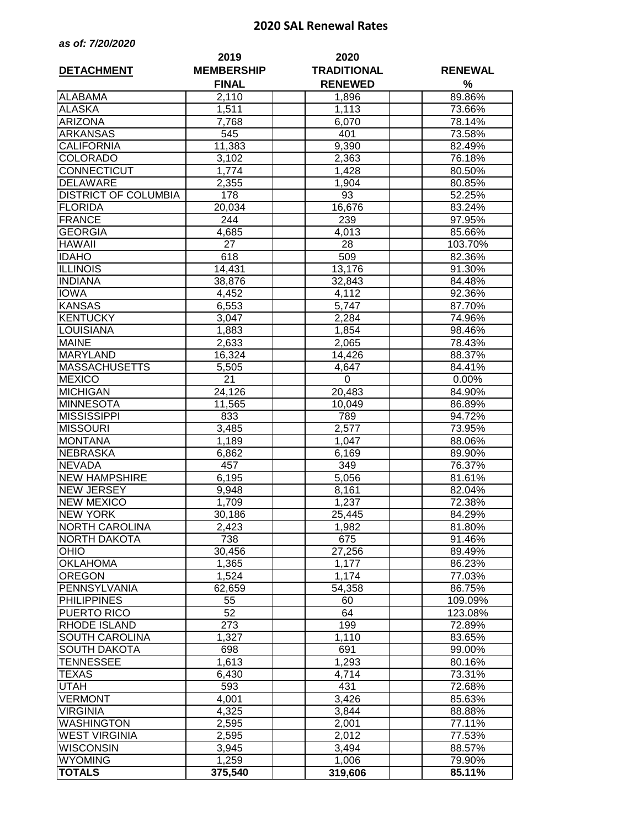## **2020 SAL Renewal Rates**

| as of: 7/20/2020 |  |  |  |  |
|------------------|--|--|--|--|
|------------------|--|--|--|--|

| <b>DETACHMENT</b>           | 2019<br><b>MEMBERSHIP</b> | 2020<br><b>TRADITIONAL</b> | <b>RENEWAL</b> |  |  |
|-----------------------------|---------------------------|----------------------------|----------------|--|--|
|                             | <b>FINAL</b>              | <b>RENEWED</b>             | %              |  |  |
| <b>ALABAMA</b>              | 2,110                     | 1,896                      | 89.86%         |  |  |
| <b>ALASKA</b>               | 1,511                     | 1,113                      | 73.66%         |  |  |
| <b>ARIZONA</b>              | 7,768                     | 6,070                      | 78.14%         |  |  |
| <b>ARKANSAS</b>             | 545                       | 401                        | 73.58%         |  |  |
| <b>CALIFORNIA</b>           | 11,383                    | 9,390                      | 82.49%         |  |  |
| <b>COLORADO</b>             | 3,102                     | 2,363                      | 76.18%         |  |  |
| CONNECTICUT                 | 1,774                     | 1,428                      | 80.50%         |  |  |
| <b>DELAWARE</b>             | 2,355                     | 1,904                      | 80.85%         |  |  |
| <b>DISTRICT OF COLUMBIA</b> | 178                       | 93                         | 52.25%         |  |  |
| <b>FLORIDA</b>              | 20,034                    | 16,676                     | 83.24%         |  |  |
| <b>FRANCE</b>               | 244                       | 239                        | 97.95%         |  |  |
| <b>GEORGIA</b>              | 4,685                     | 4,013                      | 85.66%         |  |  |
| <b>HAWAII</b>               | 27                        | 28                         | 103.70%        |  |  |
| <b>IDAHO</b>                | 618                       | 509                        | 82.36%         |  |  |
| <b>ILLINOIS</b>             | 14,431                    | 13,176                     | 91.30%         |  |  |
| <b>INDIANA</b>              | 38,876                    | 32,843                     | 84.48%         |  |  |
| <b>IOWA</b>                 | 4,452                     | 4,112                      | 92.36%         |  |  |
| <b>KANSAS</b>               | 6,553                     | 5,747                      | 87.70%         |  |  |
| <b>KENTUCKY</b>             | 3,047                     | 2,284                      | 74.96%         |  |  |
| LOUISIANA                   | 1,883                     | 1,854                      | 98.46%         |  |  |
| <b>MAINE</b>                | 2,633                     | 2,065                      | 78.43%         |  |  |
| <b>MARYLAND</b>             | 16,324                    | 14,426                     | 88.37%         |  |  |
| <b>MASSACHUSETTS</b>        | 5,505                     | 4,647                      | 84.41%         |  |  |
| <b>MEXICO</b>               | 21                        | 0                          | 0.00%          |  |  |
| <b>MICHIGAN</b>             | 24,126                    | 20,483                     | 84.90%         |  |  |
| <b>MINNESOTA</b>            | 11,565                    | 10,049                     | 86.89%         |  |  |
| <b>MISSISSIPPI</b>          | 833                       | 789                        | 94.72%         |  |  |
| <b>MISSOURI</b>             | 3,485                     | 2,577                      | 73.95%         |  |  |
| <b>MONTANA</b>              | 1,189                     | 1,047                      | 88.06%         |  |  |
| <b>NEBRASKA</b>             | 6,862                     | 6,169                      | 89.90%         |  |  |
| <b>NEVADA</b>               | 457                       | 349                        | 76.37%         |  |  |
| <b>NEW HAMPSHIRE</b>        | 6,195                     | 5,056                      | 81.61%         |  |  |
| <b>NEW JERSEY</b>           | 9,948                     | 8,161                      | 82.04%         |  |  |
| <b>NEW MEXICO</b>           | 1,709                     | 1,237                      | 72.38%         |  |  |
| <b>NEW YORK</b>             | 30,186                    | 25,445                     | 84.29%         |  |  |
| <b>NORTH CAROLINA</b>       | 2,423                     | 1,982                      | 81.80%         |  |  |
| NORTH DAKOTA                | 738                       | 675                        | 91.46%         |  |  |
| <b>OHIO</b>                 | 30,456                    | 27,256                     | 89.49%         |  |  |
| <b>OKLAHOMA</b>             | 1,365                     | 1,177                      | 86.23%         |  |  |
| <b>OREGON</b>               | 1,524                     | 1,174                      | 77.03%         |  |  |
| PENNSYLVANIA                | 62,659                    | 54,358                     | 86.75%         |  |  |
| <b>PHILIPPINES</b>          | 55                        | 60                         | 109.09%        |  |  |
| PUERTO RICO                 | 52                        | 64                         | 123.08%        |  |  |
| <b>RHODE ISLAND</b>         | 273                       | 199                        | 72.89%         |  |  |
| SOUTH CAROLINA              | 1,327                     | 1,110                      | 83.65%         |  |  |
| <b>SOUTH DAKOTA</b>         | 698                       | 691                        | 99.00%         |  |  |
| TENNESSEE                   | 1,613                     | 1,293                      | 80.16%         |  |  |
| TEXAS                       | 6,430                     | 4,714                      | 73.31%         |  |  |
| UTAH                        | 593                       | 431                        | 72.68%         |  |  |
| <b>VERMONT</b>              | 4,001                     | 3,426                      | 85.63%         |  |  |
| <b>VIRGINIA</b>             | 4,325                     | 3,844                      | 88.88%         |  |  |
| <b>WASHINGTON</b>           | 2,595                     | 2,001                      | 77.11%         |  |  |
| <b>WEST VIRGINIA</b>        | 2,595                     | 2,012                      | 77.53%         |  |  |
| <b>WISCONSIN</b>            | 3,945                     | 3,494                      | 88.57%         |  |  |
| <b>WYOMING</b>              | 1,259                     | 1,006                      | 79.90%         |  |  |
| <b>TOTALS</b>               | 375,540                   | 319,606                    | 85.11%         |  |  |